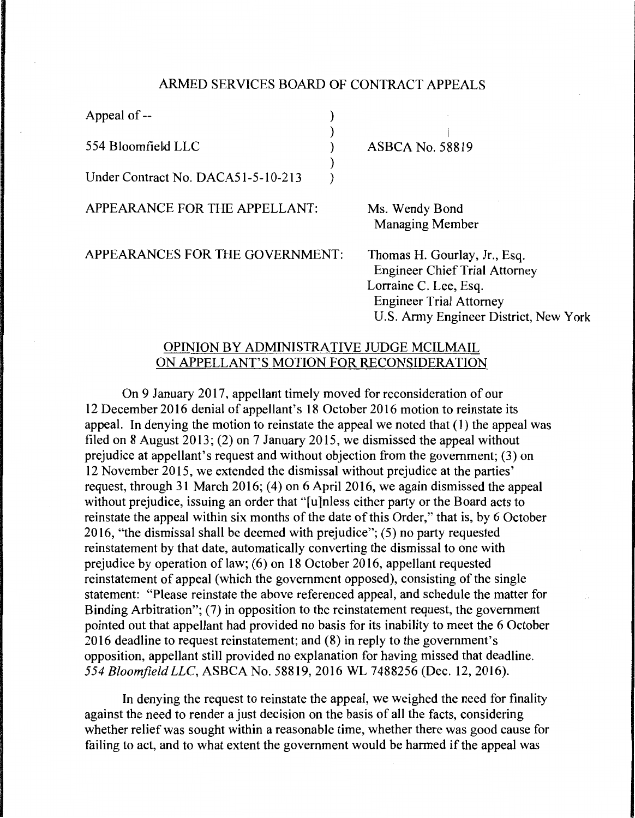## ARMED SERVICES BOARD OF CONTRACT APPEALS

) ) ) ) )

Appeal of --

554 Bloomfielid LLC

Under Contract No. DACA51-5-10-213

APPEARANCE FOR THE APPELLANT:

I ASBCA No. 58819

Ms. Wendy Bond Managing Member

APPEARANCES FOR THE GOVERNMENT:

Thomas H. Gourlay, Jr., Esq. Engineer Chief Trial Attorney Lorraine C. Lee, Esq. Engineer Trial Attorney U.S. Army Engineer District, New York

## OPINION BY ADMINISTRATIVE JUDGE MCILMAIL ON APPELLANT'S MOTION FOR RECONSIDERATION

On 9 January 2017, appellant timely moved for reconsideration of our 12 December 2016 denial of appellant's 18 October 2016 motion to reinstate its appeal. In denying the motion to reinstate the appeal we noted that ( 1) the appeal was filed on 8 August 2013; (2) on 7 January 2015, we dismissed the appeal without prejudice at appellant's request and without objection from the government; (3) on 12 November 2015, we extended the dismissal without prejudice at the parties' request, through 31 March 2016; (4) on 6 April 2016, we again dismissed the appeal without prejudice, issuing an order that "[u]nless either party or the Board acts to reinstate the appeal within six months of the date of this Order," that is, by 6 October 2016, "the dismissal shall be deemed with prejudice"; (5) no party requested reinstatement by that date, automatically converting the dismissal to one with prejudice by operation of law;  $(6)$  on 18 October 2016, appellant requested reinstatement of appeal (which the government opposed), consisting of the single statement: "Please reinstate the above referenced appeal, and schedule the matter for Binding Arbitration"; (7) in opposition to the reinstatement request, the government pointed out that appellant had provided no basis for its inability to meet the 6 October 2016 deadline to request reinstatement; and (8) in reply to the government's opposition, appellant still provided no explanation for having missed that deadline. *554 Bloomfield LLC,* ASBCA No. 58819, 2016 WL 7488256 (Dec. 12, 2016).

In denying the request to reinstate the appeal, we weighed the need for finality against the need to render a just decision on the basis of all the facts, considering whether relief was sought within a reasonable time, whether there was good cause for failing to act, and to what extent the government would be harmed if the appeal was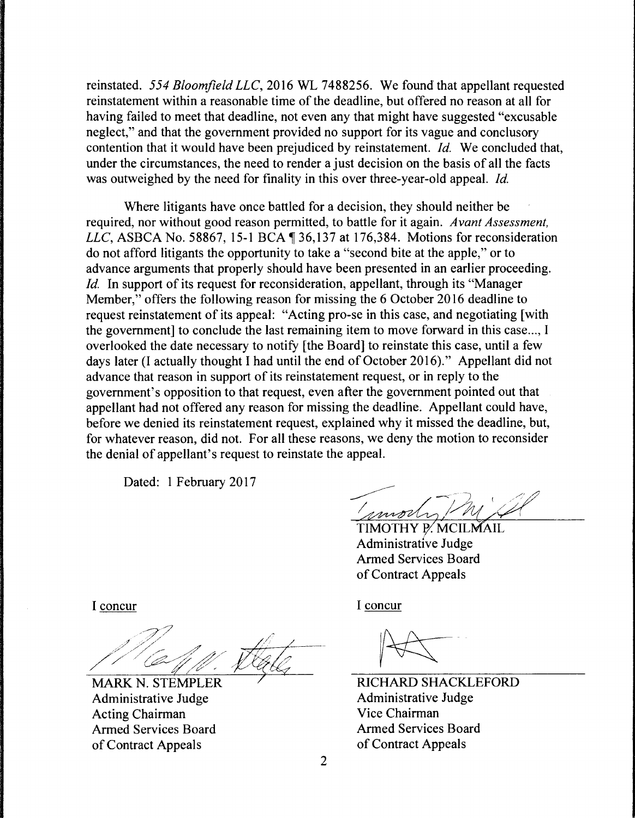reinstated. *554 Bloomfield LLC,* 2016 WL 7488256. We found that appellant requested reinstatement within a reasonable time of the deadline, but offered no reason at all for having failed to meet that deadline, not even any that might have suggested "excusable neglect," and that the government provided no support for its vague and conclusory contention that it would have been prejudiced by reinstatement. *Id.* We concluded that, under the circumstances, the need to render a just decision on the basis of all the facts was outweighed by the need for finality in this over three-year-old appeal. *Id.* 

Where litigants have once battled for a decision, they should neither be required, nor without good reason permitted, to battle for it again. *Avant Assessment, LLC*, ASBCA No. 58867, 15-1 BCA ¶ 36,137 at 176,384. Motions for reconsideration do not afford litigants the opportunity to take a "second bite at the apple," or to advance arguments that properly should have been presented in an earlier proceeding. *Id.* In support of its request for reconsideration, appellant, through its "Manager Member," offers the following reason for missing the 6 October 2016 deadline to request reinstatement of its appeal: "Acting pro-se in this case, and negotiating [with the government] to conclude the last remaining item to move forward in this case..., I overlooked the date necessary to notify [the Board] to reinstate this case, until a few days later (I actually thought I had until the end of October 2016)." Appellant did not advance that reason in support of its reinstatement request, or in reply to the government's opposition to that request, even after the government pointed out that appellant had not offered any reason for missing the deadline. Appellant could have, before we denied its reinstatement request, explained why it missed the deadline, but, for whatever reason, did not. For all these reasons, we deny the motion to reconsider the denial of appellant's request to reinstate the appeal.

Dated: 1 February 2017

mode

TIMOTHY P. MCILMAIL Administrative Judge Armed Services Board of Contract Appeals

I concur

*--7?* <sup>~</sup>  $\frac{1}{\sqrt{2}}$  complex frequency

Administrative Judge Acting Chairman Armed Services Board of Contract Appeals

I concur

RICHARD SHACKLEFORD Administrative Judge Vice Chairman Armed Services Board of Contract Appeals